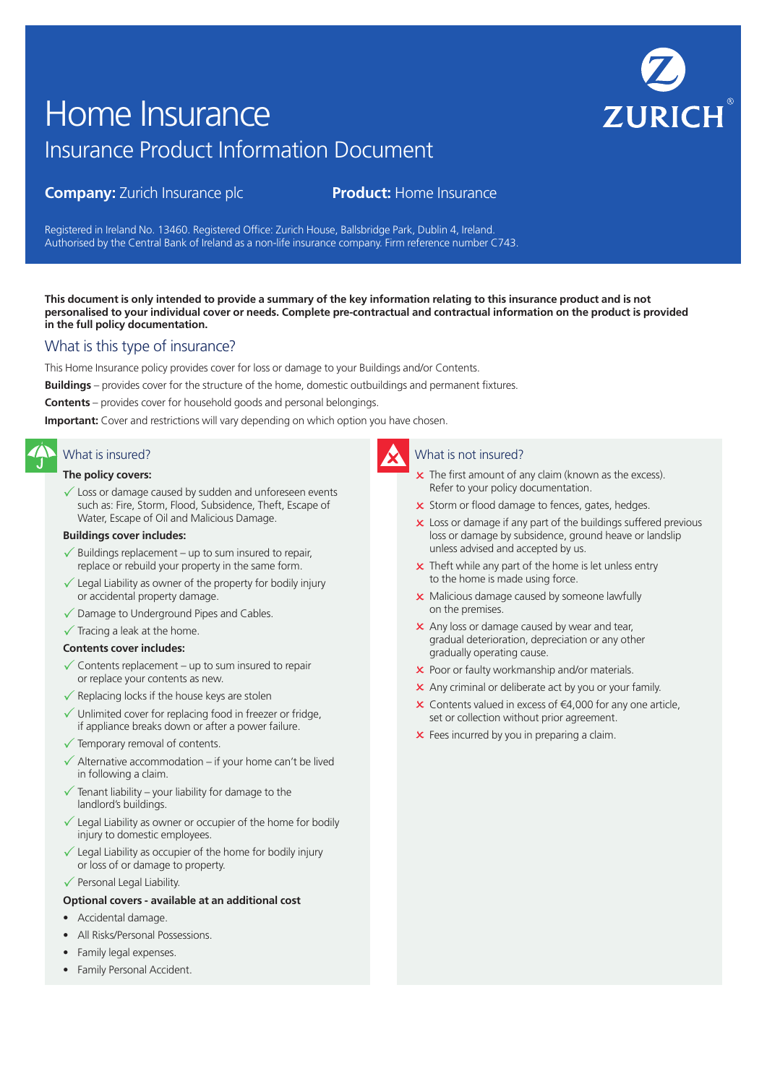# **ZURICH**

# Insurance Product Information Document Home Insurance

# **Company:** Zurich Insurance plc **Product:** Home Insurance

Registered in Ireland No. 13460. Registered Office: Zurich House, Ballsbridge Park, Dublin 4, Ireland. Authorised by the Central Bank of Ireland as a non-life insurance company. Firm reference number C743.

**This document is only intended to provide a summary of the key information relating to this insurance product and is not personalised to your individual cover or needs. Complete pre-contractual and contractual information on the product is provided in the full policy documentation.**

# What is this type of insurance?

This Home Insurance policy provides cover for loss or damage to your Buildings and/or Contents.

**Buildings** – provides cover for the structure of the home, domestic outbuildings and permanent fixtures.

**Contents** – provides cover for household goods and personal belongings.

**Important:** Cover and restrictions will vary depending on which option you have chosen.

# What is insured?

# **The policy covers:**

 $\checkmark$  Loss or damage caused by sudden and unforeseen events such as: Fire, Storm, Flood, Subsidence, Theft, Escape of Water, Escape of Oil and Malicious Damage.

# **Buildings cover includes:**

- $\sqrt{\ }$  Buildings replacement up to sum insured to repair, replace or rebuild your property in the same form.
- $\checkmark$  Legal Liability as owner of the property for bodily injury or accidental property damage.
- $\sqrt{\ }$  Damage to Underground Pipes and Cables.
- $\checkmark$  Tracing a leak at the home.

# **Contents cover includes:**

- $\checkmark$  Contents replacement up to sum insured to repair or replace your contents as new.
- $\checkmark$  Replacing locks if the house keys are stolen
- $\checkmark$  Unlimited cover for replacing food in freezer or fridge, if appliance breaks down or after a power failure.
- $\checkmark$  Temporary removal of contents.
- $\Delta$  Alternative accommodation if your home can't be lived in following a claim.
- $\overline{1}$  Tenant liability your liability for damage to the landlord's buildings.
- Legal Liability as owner or occupier of the home for bodily injury to domestic employees.
- Legal Liability as occupier of the home for bodily injury or loss of or damage to property.
- $\checkmark$  Personal Legal Liability.
- **Optional covers available at an additional cost**
- Accidental damage.
- All Risks/Personal Possessions.
- Family legal expenses.
- Family Personal Accident.

# What is not insured?

- $\times$  The first amount of any claim (known as the excess). Refer to your policy documentation.
- x Storm or flood damage to fences, gates, hedges.
- x Loss or damage if any part of the buildings suffered previous loss or damage by subsidence, ground heave or landslip unless advised and accepted by us.
- $\times$  Theft while any part of the home is let unless entry to the home is made using force.
- **x** Malicious damage caused by someone lawfully on the premises.
- $\times$  Any loss or damage caused by wear and tear, gradual deterioration, depreciation or any other gradually operating cause.
- **x** Poor or faulty workmanship and/or materials.
- **x** Any criminal or deliberate act by you or your family.
- $\times$  Contents valued in excess of €4,000 for any one article, set or collection without prior agreement.
- **x** Fees incurred by you in preparing a claim.